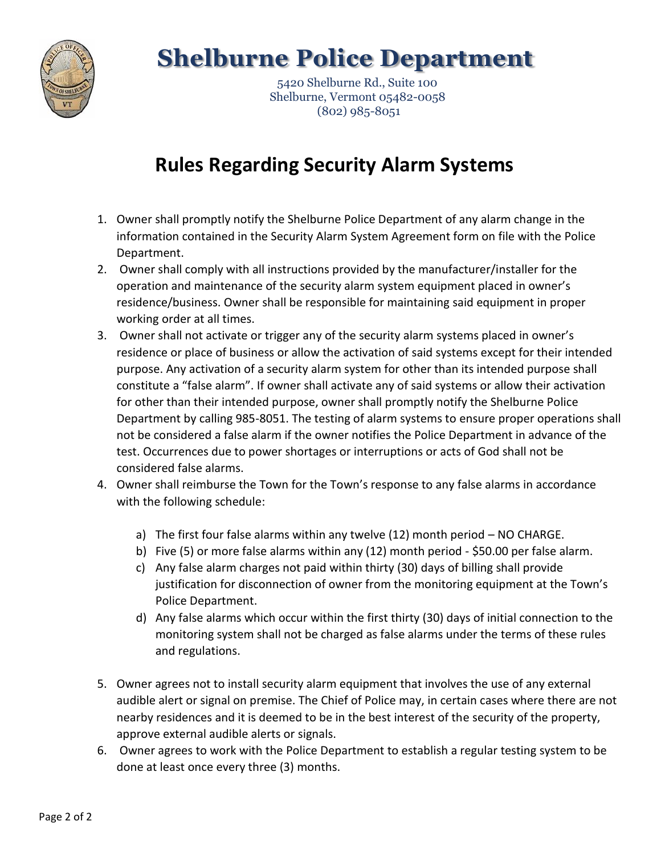

## **Shelburne Police Department**

 5420 Shelburne Rd., Suite 100 Shelburne, Vermont 05482-0058 (802) 985-8051

## **Rules Regarding Security Alarm Systems**

- 1. Owner shall promptly notify the Shelburne Police Department of any alarm change in the information contained in the Security Alarm System Agreement form on file with the Police Department.
- 2. Owner shall comply with all instructions provided by the manufacturer/installer for the operation and maintenance of the security alarm system equipment placed in owner's residence/business. Owner shall be responsible for maintaining said equipment in proper working order at all times.
- 3. Owner shall not activate or trigger any of the security alarm systems placed in owner's residence or place of business or allow the activation of said systems except for their intended purpose. Any activation of a security alarm system for other than its intended purpose shall constitute a "false alarm". If owner shall activate any of said systems or allow their activation for other than their intended purpose, owner shall promptly notify the Shelburne Police Department by calling 985-8051. The testing of alarm systems to ensure proper operations shall not be considered a false alarm if the owner notifies the Police Department in advance of the test. Occurrences due to power shortages or interruptions or acts of God shall not be considered false alarms.
- 4. Owner shall reimburse the Town for the Town's response to any false alarms in accordance with the following schedule:
	- a) The first four false alarms within any twelve (12) month period NO CHARGE.
	- b) Five (5) or more false alarms within any (12) month period \$50.00 per false alarm.
	- c) Any false alarm charges not paid within thirty (30) days of billing shall provide justification for disconnection of owner from the monitoring equipment at the Town's Police Department.
	- d) Any false alarms which occur within the first thirty (30) days of initial connection to the monitoring system shall not be charged as false alarms under the terms of these rules and regulations.
- 5. Owner agrees not to install security alarm equipment that involves the use of any external audible alert or signal on premise. The Chief of Police may, in certain cases where there are not nearby residences and it is deemed to be in the best interest of the security of the property, approve external audible alerts or signals.
- 6. Owner agrees to work with the Police Department to establish a regular testing system to be done at least once every three (3) months.